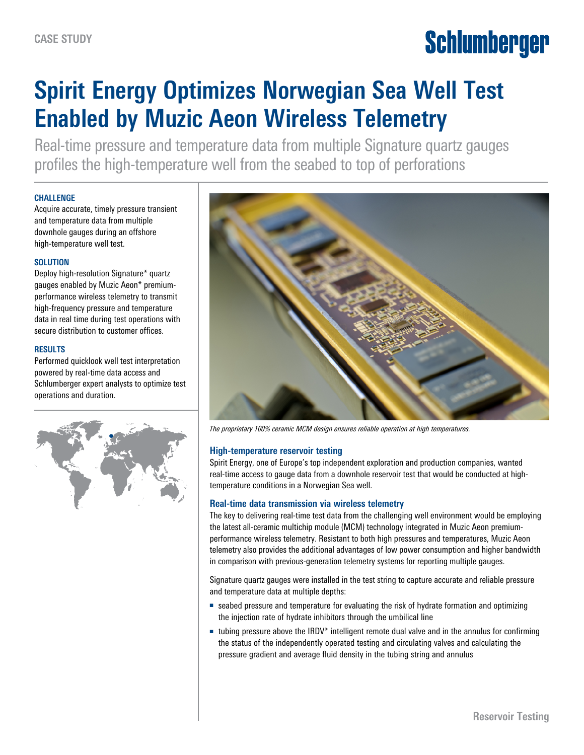# Schlumberger

# **Spirit Energy Optimizes Norwegian Sea Well Test Enabled by Muzic Aeon Wireless Telemetry**

Real-time pressure and temperature data from multiple Signature quartz gauges profiles the high-temperature well from the seabed to top of perforations

### **CHALLENGE**

Acquire accurate, timely pressure transient and temperature data from multiple downhole gauges during an offshore high-temperature well test.

### **SOLUTION**

Deploy high-resolution Signature\* quartz gauges enabled by Muzic Aeon\* premiumperformance wireless telemetry to transmit high-frequency pressure and temperature data in real time during test operations with secure distribution to customer offices.

### **RESULTS**

Performed quicklook well test interpretation powered by real-time data access and Schlumberger expert analysts to optimize test operations and duration.





*The proprietary 100% ceramic MCM design ensures reliable operation at high temperatures.*

## **High-temperature reservoir testing**

Spirit Energy, one of Europe's top independent exploration and production companies, wanted real-time access to gauge data from a downhole reservoir test that would be conducted at hightemperature conditions in a Norwegian Sea well.

#### **Real-time data transmission via wireless telemetry**

The key to delivering real-time test data from the challenging well environment would be employing the latest all-ceramic multichip module (MCM) technology integrated in Muzic Aeon premiumperformance wireless telemetry. Resistant to both high pressures and temperatures, Muzic Aeon telemetry also provides the additional advantages of low power consumption and higher bandwidth in comparison with previous-generation telemetry systems for reporting multiple gauges.

Signature quartz gauges were installed in the test string to capture accurate and reliable pressure and temperature data at multiple depths:

- seabed pressure and temperature for evaluating the risk of hydrate formation and optimizing the injection rate of hydrate inhibitors through the umbilical line
- tubing pressure above the IRDV<sup>\*</sup> intelligent remote dual valve and in the annulus for confirming the status of the independently operated testing and circulating valves and calculating the pressure gradient and average fluid density in the tubing string and annulus